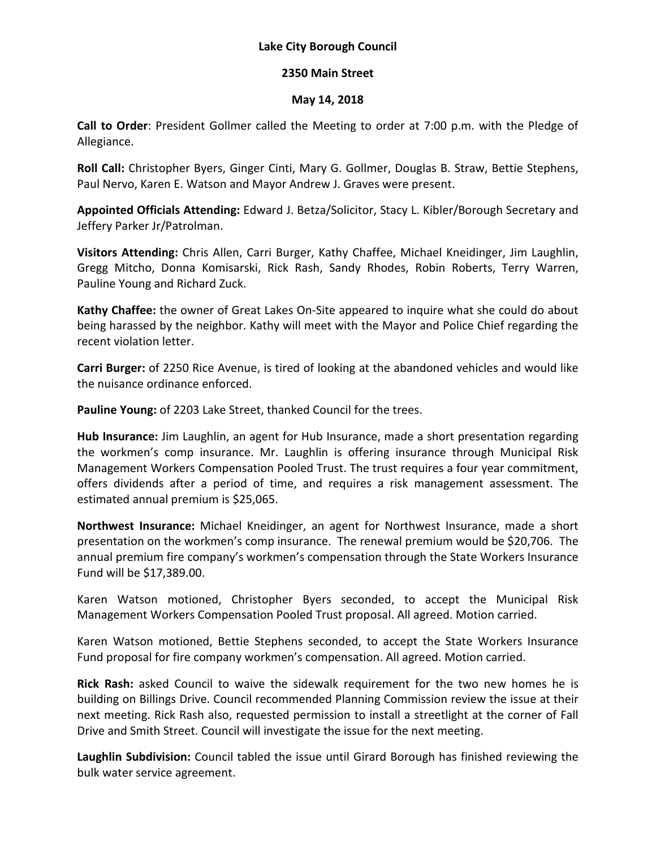## **Lake City Borough Council**

## **2350 Main Street**

## **May 14, 2018**

**Call to Order**: President Gollmer called the Meeting to order at 7:00 p.m. with the Pledge of Allegiance.

**Roll Call:** Christopher Byers, Ginger Cinti, Mary G. Gollmer, Douglas B. Straw, Bettie Stephens, Paul Nervo, Karen E. Watson and Mayor Andrew J. Graves were present.

**Appointed Officials Attending:** Edward J. Betza/Solicitor, Stacy L. Kibler/Borough Secretary and Jeffery Parker Jr/Patrolman.

**Visitors Attending:** Chris Allen, Carri Burger, Kathy Chaffee, Michael Kneidinger, Jim Laughlin, Gregg Mitcho, Donna Komisarski, Rick Rash, Sandy Rhodes, Robin Roberts, Terry Warren, Pauline Young and Richard Zuck.

**Kathy Chaffee:** the owner of Great Lakes On-Site appeared to inquire what she could do about being harassed by the neighbor. Kathy will meet with the Mayor and Police Chief regarding the recent violation letter.

**Carri Burger:** of 2250 Rice Avenue, is tired of looking at the abandoned vehicles and would like the nuisance ordinance enforced.

**Pauline Young:** of 2203 Lake Street, thanked Council for the trees.

**Hub Insurance:** Jim Laughlin, an agent for Hub Insurance, made a short presentation regarding the workmen's comp insurance. Mr. Laughlin is offering insurance through Municipal Risk Management Workers Compensation Pooled Trust. The trust requires a four year commitment, offers dividends after a period of time, and requires a risk management assessment. The estimated annual premium is \$25,065.

**Northwest Insurance:** Michael Kneidinger, an agent for Northwest Insurance, made a short presentation on the workmen's comp insurance. The renewal premium would be \$20,706. The annual premium fire company's workmen's compensation through the State Workers Insurance Fund will be \$17,389.00.

Karen Watson motioned, Christopher Byers seconded, to accept the Municipal Risk Management Workers Compensation Pooled Trust proposal. All agreed. Motion carried.

Karen Watson motioned, Bettie Stephens seconded, to accept the State Workers Insurance Fund proposal for fire company workmen's compensation. All agreed. Motion carried.

**Rick Rash:** asked Council to waive the sidewalk requirement for the two new homes he is building on Billings Drive. Council recommended Planning Commission review the issue at their next meeting. Rick Rash also, requested permission to install a streetlight at the corner of Fall Drive and Smith Street. Council will investigate the issue for the next meeting.

**Laughlin Subdivision:** Council tabled the issue until Girard Borough has finished reviewing the bulk water service agreement.